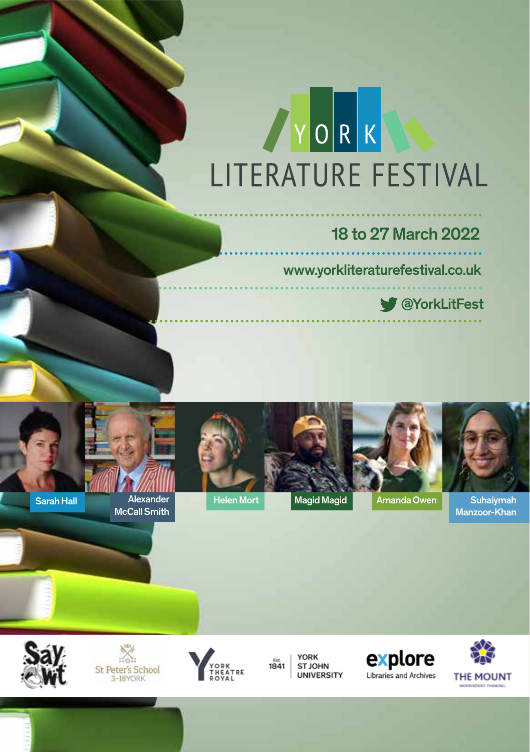# YORK LITERATURE FESTIVAL

### 18 to 27 March 2022

www.yorkliteraturefestival.co.uk

**W** @YorkLitFest



Alexander



Come and join us as we once again celebrate the written and spoken word in one

**Welcome to the 2020 York Literature Festival Programme**



Helen Mort Magid Magid **Amanda Owen** Suhaiymah Manzoor-Khan

**Call Smith Call Smith, once and the magazing of the magazine possible, notably our Main Events go to all those who may be a set of the main Events go to all those who may be a set of the main Events and the main Events** sponsors, Baillie Gifford; our university sponsor, York St John University, Andrew St John University, and our

We owner them all an immediately defined and

We look for ward to see in the some of our events.

partners; St Peter's School, Explore York Libraries and Archives, York Theatre Royal and Make It York.

Ticketing arrangements are shown for each individual event. Most tickets can be obtained directly from the York Theatre Royal Box Office on **01904 623568** or via **yorktheatreroyal.co.uk**.

 $Y$  can keep fully up-to-date with the Festival by following us on  $T$ signing up to our eNewsletters via our website at www.yorkliteraturefestival.co.uk.



Sarah Hall

*Serhii Plokhy, Winner of the 2018 Baillie Gifford Prize for Non-Fiction. Chernobyl – History of a Tragedy.*



**Book Your Tickets Now!**



**YORK** Est 1841 ST JOHN **UNIVERSITY** 



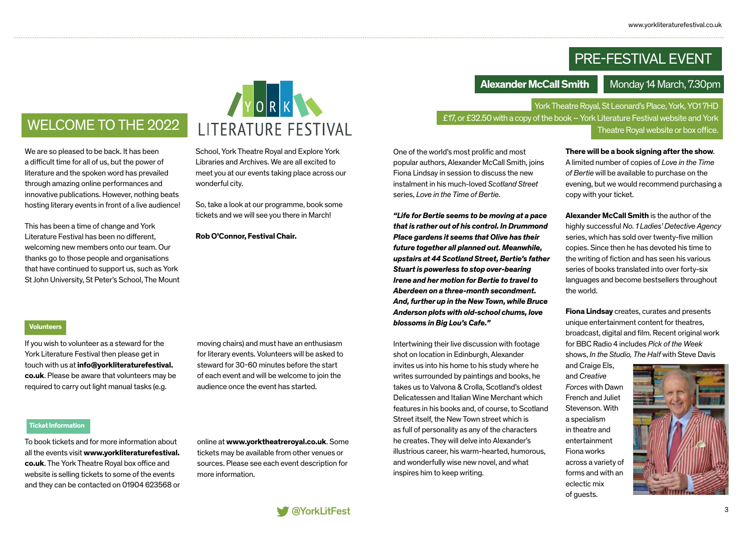## PRE-FESTIVAL EVENT

**Alexander McCall Smith** Monday 14 March, 7.30pm

York Theatre Royal, St Leonard's Place, York, YO1 7HD £17, or £32.50 with a copy of the book – York Literature Festival website and York

Theatre Royal website or box office.

One of the world's most prolific and most popular authors, Alexander McCall Smith, joins Fiona Lindsay in session to discuss the new instalment in his much-loved *Scotland Street* series, *Love in the Time of Bertie*.

*"Life for Bertie seems to be moving at a pace that is rather out of his control. In Drummond Place gardens it seems that Olive has their future together all planned out. Meanwhile, upstairs at 44 Scotland Street, Bertie's father Stuart is powerless to stop over-bearing Irene and her motion for Bertie to travel to Aberdeen on a three-month secondment. And, further up in the New Town, while Bruce Anderson plots with old-school chums, love blossoms in Big Lou's Cafe."*

Intertwining their live discussion with footage shot on location in Edinburgh, Alexander invites us into his home to his study where he writes surrounded by paintings and books, he takes us to Valvona & Crolla, Scotland's oldest Delicatessen and Italian Wine Merchant which features in his books and, of course, to Scotland Street itself, the New Town street which is as full of personality as any of the characters he creates. They will delve into Alexander's illustrious career, his warm-hearted, humorous, and wonderfully wise new novel, and what inspires him to keep writing.

**There will be a book signing after the show**. A limited number of copies of *Love in the Time of Bertie* will be available to purchase on the evening, but we would recommend purchasing a copy with your ticket.

**Alexander McCall Smith** is the author of the highly successful *No. 1 Ladies' Detective Agency*  series, which has sold over twenty-five million copies. Since then he has devoted his time to the writing of fiction and has seen his various series of books translated into over forty-six languages and become bestsellers throughout the world.

**Fiona Lindsay** creates, curates and presents unique entertainment content for theatres, broadcast, digital and film. Recent original work for BBC Radio 4 includes *Pick of the Week* shows, *In the Studio, The Half* with Steve Davis

and Craige Els, and *Creative Forces* with Dawn French and Juliet Stevenson. With a specialism in theatre and entertainment Fiona works across a variety of forms and with an eclectic mix of guests.



# WELCOME TO THE 2022

We are so pleased to be back. It has been a difficult time for all of us, but the power of literature and the spoken word has prevailed through amazing online performances and innovative publications. However, nothing beats hosting literary events in front of a live audience!

This has been a time of change and York Literature Festival has been no different, welcoming new members onto our team. Our thanks go to those people and organisations that have continued to support us, such as York St John University, St Peter's School, The Mount



School, York Theatre Royal and Explore York Libraries and Archives. We are all excited to meet you at our events taking place across our wonderful city.

So, take a look at our programme, book some tickets and we will see you there in March!

**Rob O'Connor, Festival Chair.**

### **Volunteers**

If you wish to volunteer as a steward for the York Literature Festival then please get in touch with us at **info@yorkliteraturefestival. co.uk**. Please be aware that volunteers may be required to carry out light manual tasks (e.g.

moving chairs) and must have an enthusiasm for literary events. Volunteers will be asked to steward for 30-60 minutes before the start of each event and will be welcome to join the audience once the event has started.

**Ticket Information**

To book tickets and for more information about all the events visit **www.yorkliteraturefestival. co.uk**. The York Theatre Royal box office and website is selling tickets to some of the events and they can be contacted on 01904 623568 or online at **www.yorktheatreroyal.co.uk**. Some tickets may be available from other venues or sources. Please see each event description for more information.

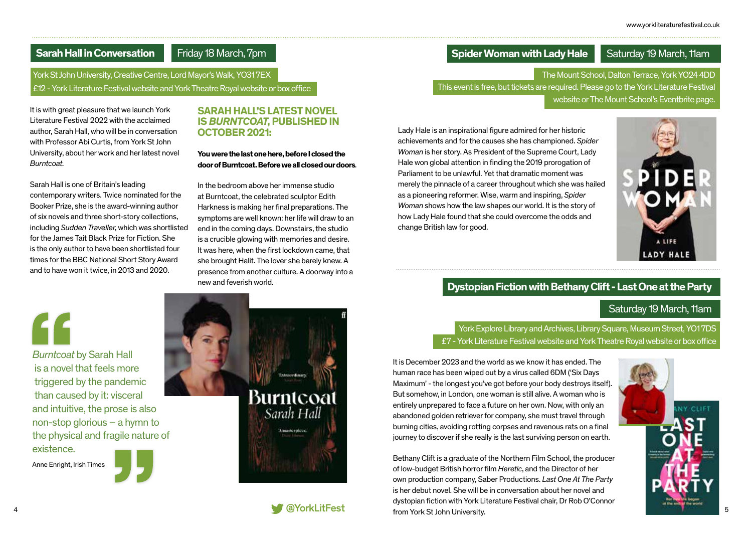### **Sarah Hall in Conversation**

Friday 18 March, 7pm

York St John University, Creative Centre, Lord Mayor's Walk, YO31 7EX £12 - York Literature Festival website and York Theatre Royal website or box office

It is with great pleasure that we launch York Literature Festival 2022 with the acclaimed author, Sarah Hall, who will be in conversation with Professor Abi Curtis, from York St John University, about her work and her latest novel *Burntcoat*.

Sarah Hall is one of Britain's leading contemporary writers. Twice nominated for the Booker Prize, she is the award-winning author of six novels and three short-story collections, including *Sudden Traveller*, which was shortlisted for the James Tait Black Prize for Fiction. She is the only author to have been shortlisted four times for the BBC National Short Story Award and to have won it twice, in 2013 and 2020.

### **SARAH HALL'S LATEST NOVEL IS** *BURNTCOAT***, PUBLISHED IN OCTOBER 2021:**

### **You were the last one here, before I closed the door of Burntcoat. Before we all closed our doors***.*

In the bedroom above her immense studio at Burntcoat, the celebrated sculptor Edith Harkness is making her final preparations. The symptoms are well known: her life will draw to an end in the coming days. Downstairs, the studio is a crucible glowing with memories and desire. It was here, when the first lockdown came, that she brought Halit. The lover she barely knew. A presence from another culture. A doorway into a new and feverish world.

*Burntcoat* by Sarah Hall is a novel that feels more triggered by the pandemic than caused by it: visceral and intuitive, the prose is also non-stop glorious – a hymn to the physical and fragile nature of existence.

Anne Enright, Irish Times







### **Spider Woman with Lady Hale** Saturday 19 March, 11am

The Mount School, Dalton Terrace, York YO24 4DD This event is free, but tickets are required. Please go to the York Literature Festival website or The Mount School's Eventbrite page.

Lady Hale is an inspirational figure admired for her historic achievements and for the causes she has championed. *Spider Woman* is her story. As President of the Supreme Court, Lady Hale won global attention in finding the 2019 prorogation of Parliament to be unlawful. Yet that dramatic moment was merely the pinnacle of a career throughout which she was hailed as a pioneering reformer. Wise, warm and inspiring, *Spider Woman* shows how the law shapes our world. It is the story of how Lady Hale found that she could overcome the odds and change British law for good.



### **Dystopian Fiction with Bethany Clift - Last One at the Party**

### Saturday 19 March, 11am

York Explore Library and Archives, Library Square, Museum Street, YO1 7DS £7 - York Literature Festival website and York Theatre Royal website or box office

It is December 2023 and the world as we know it has ended. The human race has been wiped out by a virus called 6DM ('Six Days Maximum' - the longest you've got before your body destroys itself). But somehow, in London, one woman is still alive. A woman who is entirely unprepared to face a future on her own. Now, with only an abandoned golden retriever for company, she must travel through burning cities, avoiding rotting corpses and ravenous rats on a final journey to discover if she really is the last surviving person on earth.

4 and the state of the state of the state of the state of the state of the state of the state of the state of the state of the state of the state of the state of the state of the state of the state of the state of the stat Bethany Clift is a graduate of the Northern Film School, the producer of low-budget British horror film *Heretic*, and the Director of her own production company, Saber Productions. *Last One At The Party* is her debut novel. She will be in conversation about her novel and dystopian fiction with York Literature Festival chair, Dr Rob O'Connor from York St John University.

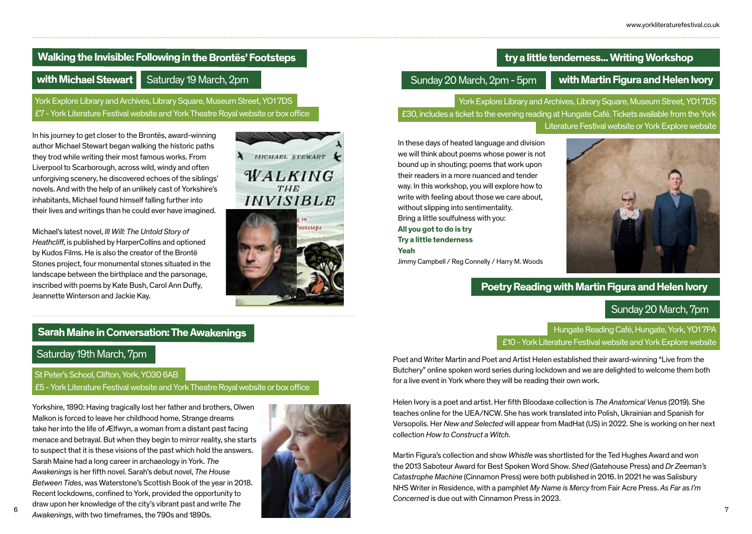### **Walking the Invisible: Following in the Brontës' Footsteps**

Saturday 19 March, 2pm **with Michael Stewart** Saturday 19 March. 2pm

York Explore Library and Archives, Library Square, Museum Street, YO1 7DS £7 - York Literature Festival website and York Theatre Royal website or box office

In his journey to get closer to the Brontës, award-winning author Michael Stewart began walking the historic paths they trod while writing their most famous works. From Liverpool to Scarborough, across wild, windy and often unforgiving scenery, he discovered echoes of the siblings' novels. And with the help of an unlikely cast of Yorkshire's inhabitants, Michael found himself falling further into their lives and writings than he could ever have imagined.

Michael's latest novel, *Ill Will: The Untold Story of Heathcliff*, is published by HarperCollins and optioned by Kudos Films. He is also the creator of the Brontë Stones project, four monumental stones situated in the landscape between the birthplace and the parsonage, inscribed with poems by Kate Bush, Carol Ann Duffy, Jeannette Winterson and Jackie Kay.

### **Sarah Maine in Conversation: The Awakenings**

### Saturday 19th March, 7pm

St Peter's School, Clifton, York, YO30 6AB

£5 - York Literature Festival website and York Theatre Royal website or box office

6 7 *Awakenings*, with two timeframes, the 790s and 1890s. Yorkshire, 1890: Having tragically lost her father and brothers, Olwen Malkon is forced to leave her childhood home. Strange dreams take her into the life of Ælfwyn, a woman from a distant past facing menace and betrayal. But when they begin to mirror reality, she starts to suspect that it is these visions of the past which hold the answers. Sarah Maine had a long career in archaeology in York. *The Awakenings* is her fifth novel. Sarah's debut novel, *The House Between Tides*, was Waterstone's Scottish Book of the year in 2018. Recent lockdowns, confined to York, provided the opportunity to draw upon her knowledge of the city's vibrant past and write *The* 



HICHAEL STEWART

WALKING

**INVISIBLE** 

ootsteba

### **try a little tenderness... Writing Workshop**

### Sunday 20 March, 2pm - 5pm

York Explore Library and Archives, Library Square, Museum Street, YO1 7DS £30, includes a ticket to the evening reading at Hungate Café. Tickets available from the York Literature Festival website or York Explore website

In these days of heated language and division we will think about poems whose power is not bound up in shouting; poems that work upon their readers in a more nuanced and tender way. In this workshop, you will explore how to write with feeling about those we care about, without slipping into sentimentality. Bring a little soulfulness with you: **All you got to do is try Try a little tenderness Yeah**





### **Poetry Reading with Martin Figura and Helen Ivory**

### Sunday 20 March, 7pm

Hungate Reading Café, Hungate, York, YO1 7PA £10 - York Literature Festival website and York Explore website

Poet and Writer Martin and Poet and Artist Helen established their award-winning "Live from the Butchery" online spoken word series during lockdown and we are delighted to welcome them both for a live event in York where they will be reading their own work.

Helen Ivory is a poet and artist. Her fifth Bloodaxe collection is *The Anatomical Venus* (2019). She teaches online for the UEA/NCW. She has work translated into Polish, Ukrainian and Spanish for Versopolis. Her *New and Selected* will appear from MadHat (US) in 2022. She is working on her next collection *How to Construct a Witch.*

Martin Figura's collection and show *Whistle* was shortlisted for the Ted Hughes Award and won the 2013 Saboteur Award for Best Spoken Word Show. *Shed* (Gatehouse Press) and *Dr Zeeman's Catastrophe Machine* (Cinnamon Press) were both published in 2016. In 2021 he was Salisbury NHS Writer in Residence, with a pamphlet *My Name is Mercy* from Fair Acre Press. *As Far as I'm Concerned* is due out with Cinnamon Press in 2023.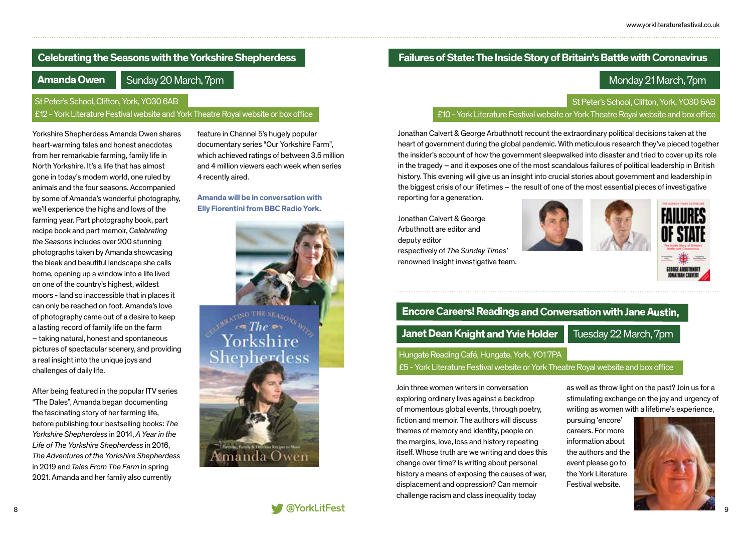### **Celebrating the Seasons with the Yorkshire Shepherdess**

### **Amanda Owen**

Sunday 20 March, 7pm

### St Peter's School, Clifton, York, YO30 6AB

### £12 - York Literature Festival website and York Theatre Royal website or box office

Yorkshire Shepherdess Amanda Owen shares heart-warming tales and honest anecdotes from her remarkable farming, family life in North Yorkshire. It's a life that has almost gone in today's modern world, one ruled by animals and the four seasons. Accompanied by some of Amanda's wonderful photography, we'll experience the highs and lows of the farming year. Part photography book, part recipe book and part memoir, *Celebrating the Seasons* includes over 200 stunning photographs taken by Amanda showcasing the bleak and beautiful landscape she calls home, opening up a window into a life lived on one of the country's highest, wildest moors - land so inaccessible that in places it can only be reached on foot. Amanda's love of photography came out of a desire to keep a lasting record of family life on the farm – taking natural, honest and spontaneous pictures of spectacular scenery, and providing a real insight into the unique joys and challenges of daily life.

After being featured in the popular ITV series "The Dales", Amanda began documenting the fascinating story of her farming life, before publishing four bestselling books: *The Yorkshire Shepherdess* in 2014, *A Year in the Life of The Yorkshire Shepherdess* in 2016, *The Adventures of the Yorkshire Shepherdess*  in 2019 and *Tales From The Farm* in spring 2021. Amanda and her family also currently

feature in Channel 5's hugely popular documentary series "Our Yorkshire Farm", which achieved ratings of between 3.5 million and 4 million viewers each week when series 4 recently aired.

### **Amanda will be in conversation with Elly Fiorentini from BBC Radio York.**



### **Failures of State: The Inside Story of Britain's Battle with Coronavirus**

### Monday 21 March, 7pm

St Peter's School, Clifton, York, YO30 6AB

£10 - York Literature Festival website or York Theatre Royal website and box office

Jonathan Calvert & George Arbuthnott recount the extraordinary political decisions taken at the heart of government during the global pandemic. With meticulous research they've pieced together the insider's account of how the government sleepwalked into disaster and tried to cover up its role in the tragedy – and it exposes one of the most scandalous failures of political leadership in British history. This evening will give us an insight into crucial stories about government and leadership in the biggest crisis of our lifetimes – the result of one of the most essential pieces of investigative

reporting for a generation.

Jonathan Calvert & George Arbuthnott are editor and deputy editor respectively of *The Sunday Times'*  renowned Insight investigative team.





# **Encore Careers! Readings and Conversation with Jane Austin,**  Hungate Reading Café, Hungate, York, YO1 7PA **Janet Dean Knight and Yvie Holder** Tuesday 22 March, 7pm

£5 - York Literature Festival website or York Theatre Royal website and box office

Join three women writers in conversation exploring ordinary lives against a backdrop of momentous global events, through poetry, fiction and memoir. The authors will discuss themes of memory and identity, people on the margins, love, loss and history repeating itself. Whose truth are we writing and does this change over time? Is writing about personal history a means of exposing the causes of war, displacement and oppression? Can memoir challenge racism and class inequality today

as well as throw light on the past? Join us for a stimulating exchange on the joy and urgency of writing as women with a lifetime's experience,

pursuing 'encore' careers. For more information about the authors and the event please go to the York Literature Festival website.

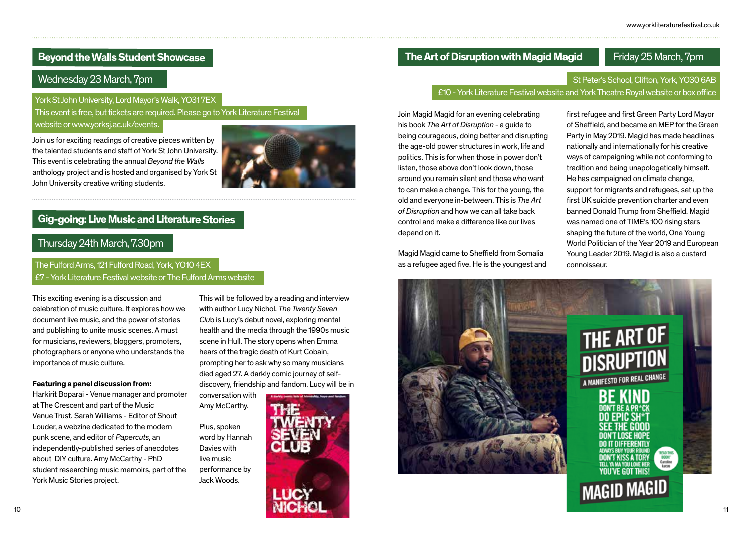### **Beyond the Walls Student Showcase**

### Wednesday 23 March, 7pm

This event is free, but tickets are required. Please go to York Literature Festival

website or www.yorksj.ac.uk/events.

Join us for exciting readings of creative pieces written by the talented students and staff of York St John University. This event is celebrating the annual *Beyond the Walls* anthology project and is hosted and organised by York St John University creative writing students.



### Thursday 24th March, 7.30pm

### The Fulford Arms, 121 Fulford Road, York, YO10 4EX £7 - York Literature Festival website or The Fulford Arms website

This exciting evening is a discussion and celebration of music culture. It explores how we document live music, and the power of stories and publishing to unite music scenes. A must for musicians, reviewers, bloggers, promoters, photographers or anyone who understands the importance of music culture.

### **Featuring a panel discussion from:**

Harkirit Boparai - Venue manager and promoter at The Crescent and part of the Music Venue Trust. Sarah Williams - Editor of Shout Louder, a webzine dedicated to the modern punk scene, and editor of *Papercuts*, an independently-published series of anecdotes about DIY culture. Amy McCarthy - PhD student researching music memoirs, part of the York Music Stories project.

This will be followed by a reading and interview with author Lucy Nichol. *The Twenty Seven Clu*b is Lucy's debut novel, exploring mental health and the media through the 1990s music scene in Hull. The story opens when Emma hears of the tragic death of Kurt Cobain, prompting her to ask why so many musicians died aged 27. A darkly comic journey of selfdiscovery, friendship and fandom. Lucy will be in

conversation with Amy McCarthy.

Plus, spoken word by Hannah Davies with live music performance by Jack Woods.



### **The Art of Disruption with Magid Magid** Friday 25 March, 7pm

# St Peter's School, Clifton, York, YO30 6AB

York St John University, Lord Mayor's Walk, YO31 7EX

Join Magid Magid for an evening celebrating his book *The Art of Disruption* - a guide to being courageous, doing better and disrupting the age-old power structures in work, life and politics. This is for when those in power don't listen, those above don't look down, those around you remain silent and those who want to can make a change. This for the young, the old and everyone in-between. This is *The Art of Disruption* and how we can all take back control and make a difference like our lives depend on it.

Magid Magid came to Sheffield from Somalia as a refugee aged five. He is the youngest and first refugee and first Green Party Lord Mayor of Sheffield, and became an MEP for the Green Party in May 2019. Magid has made headlines nationally and internationally for his creative ways of campaigning while not conforming to tradition and being unapologetically himself. He has campaigned on climate change, support for migrants and refugees, set up the first UK suicide prevention charter and even banned Donald Trump from Sheffield. Magid was named one of TIME's 100 rising stars shaping the future of the world, One Young World Politician of the Year 2019 and European Young Leader 2019. Magid is also a custard connoisseur.

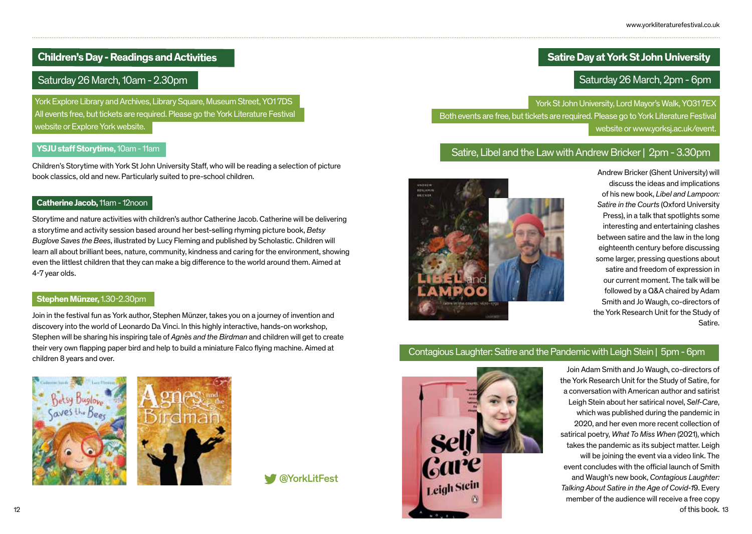### **Children's Day - Readings and Activities**

### Saturday 26 March, 10am - 2.30pm

York Explore Library and Archives, Library Square, Museum Street, YO1 7DS All events free, but tickets are required. Please go the York Literature Festival website or Explore York website.

### **YSJU staff Storytime,** 10am - 11am

Children's Storytime with York St John University Staff, who will be reading a selection of picture book classics, old and new. Particularly suited to pre-school children.

### **Catherine Jacob,** 11am - 12noon

Storytime and nature activities with children's author Catherine Jacob. Catherine will be delivering a storytime and activity session based around her best-selling rhyming picture book, *Betsy Buglove Saves the Bees*, illustrated by Lucy Fleming and published by Scholastic. Children will learn all about brilliant bees, nature, community, kindness and caring for the environment, showing even the littlest children that they can make a big difference to the world around them. Aimed at 4-7 year olds.

### **Stephen Münzer,** 1.30-2.30pm

Join in the festival fun as York author, Stephen Münzer, takes you on a journey of invention and discovery into the world of Leonardo Da Vinci. In this highly interactive, hands-on workshop, Stephen will be sharing his inspiring tale of *Agnès and the Birdman* and children will get to create their very own flapping paper bird and help to build a miniature Falco flying machine. Aimed at children 8 years and over.





### **Satire Day at York St John University**

### Saturday 26 March, 2pm - 6pm

York St John University, Lord Mayor's Walk, YO31 7EX Both events are free, but tickets are required. Please go to York Literature Festival website or www.yorksj.ac.uk/event.

### Satire, Libel and the Law with Andrew Bricker | 2pm - 3.30pm



Andrew Bricker (Ghent University) will discuss the ideas and implications of his new book, *Libel and Lampoon: Satire in the Courts* (Oxford University Press), in a talk that spotlights some interesting and entertaining clashes between satire and the law in the long eighteenth century before discussing some larger, pressing questions about satire and freedom of expression in our current moment. The talk will be followed by a Q&A chaired by Adam Smith and Jo Waugh, co-directors of the York Research Unit for the Study of Satire.

### Contagious Laughter: Satire and the Pandemic with Leigh Stein | 5pm - 6pm

of this book. 13 Join Adam Smith and Jo Waugh, co-directors of the York Research Unit for the Study of Satire, for a conversation with American author and satirist Leigh Stein about her satirical novel, *Self-Care*, which was published during the pandemic in 2020, and her even more recent collection of satirical poetry, *What To Miss When* (2021), which takes the pandemic as its subject matter. Leigh will be joining the event via a video link. The event concludes with the official launch of Smith and Waugh's new book, *Contagious Laughter: Talking About Satire in the Age of Covid-1*9. Every member of the audience will receive a free copy

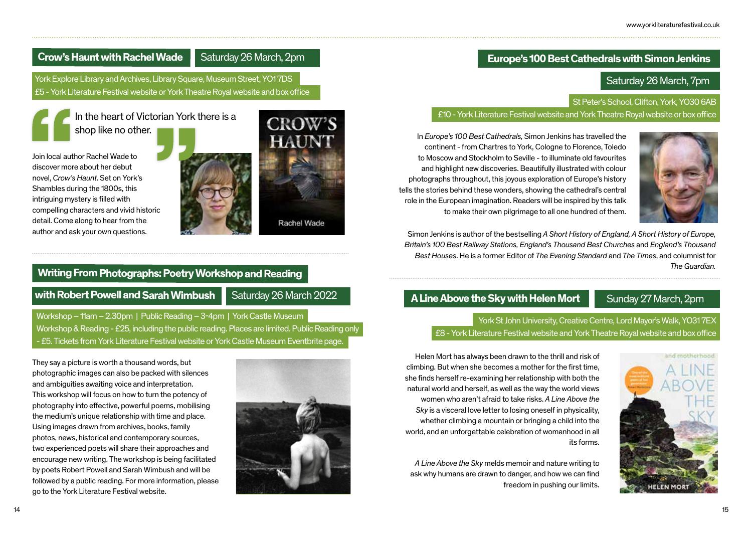### **Europe's 100 Best Cathedrals with Simon Jenkins**

### Saturday 26 March, 7pm

**St Peter's School, Clifton, York, YO30 6AB** £10 - York Literature Festival website and York Theatre Royal website or box office

In *Europe's 100 Best Cathedrals,* Simon Jenkins has travelled the continent - from Chartres to York, Cologne to Florence, Toledo to Moscow and Stockholm to Seville - to illuminate old favourites and highlight new discoveries. Beautifully illustrated with colour photographs throughout, this joyous exploration of Europe's history tells the stories behind these wonders, showing the cathedral's central role in the European imagination. Readers will be inspired by this talk to make their own pilgrimage to all one hundred of them.

Simon Jenkins is author of the bestselling *A Short History of England, A Short History of Europe, Britain's 100 Best Railway Stations, England's Thousand Best Churches* and *England's Thousand Best Houses*. He is a former Editor of *The Evening Standard* and *The Times*, and columnist for *The Guardian.*

**A Line Above the Sky with Helen Mort** Sunday 27 March, 2pm

York St John University, Creative Centre, Lord Mayor's Walk, YO31 7EX £8 - York Literature Festival website and York Theatre Royal website and box office



Helen Mort has always been drawn to the thrill and risk of climbing. But when she becomes a mother for the first time, she finds herself re-examining her relationship with both the natural world and herself, as well as the way the world views women who aren't afraid to take risks. *A Line Above the Sky* is a visceral love letter to losing oneself in physicality, whether climbing a mountain or bringing a child into the world, and an unforgettable celebration of womanhood in all its forms.

*A Line Above the Sky* melds memoir and nature writing to ask why humans are drawn to danger, and how we can find freedom in pushing our limits.



In the heart of Victorian York there is a

**Crow's Haunt with Rachel Wade** Saturday 26 March, 2pm

York Explore Library and Archives, Library Square, Museum Street, YO1 7DS £5 - York Literature Festival website or York Theatre Royal website and box office

shop like no other.

Join local author Rachel Wade to discover more about her debut novel, *Crow's Haunt*. Set on York's Shambles during the 1800s, this intriguing mystery is filled with compelling characters and vivid historic detail. Come along to hear from the author and ask your own questions.

### **Writing From Photographs: Poetry Workshop and Reading**

**with Robert Powell and Sarah Wimbush | Saturday 26 March 2022** 

Workshop – 11am – 2.30pm | Public Reading – 3-4pm | York Castle Museum Workshop & Reading - £25, including the public reading. Places are limited. Public Reading only - £5. Tickets from York Literature Festival website or York Castle Museum Eventbrite page.



14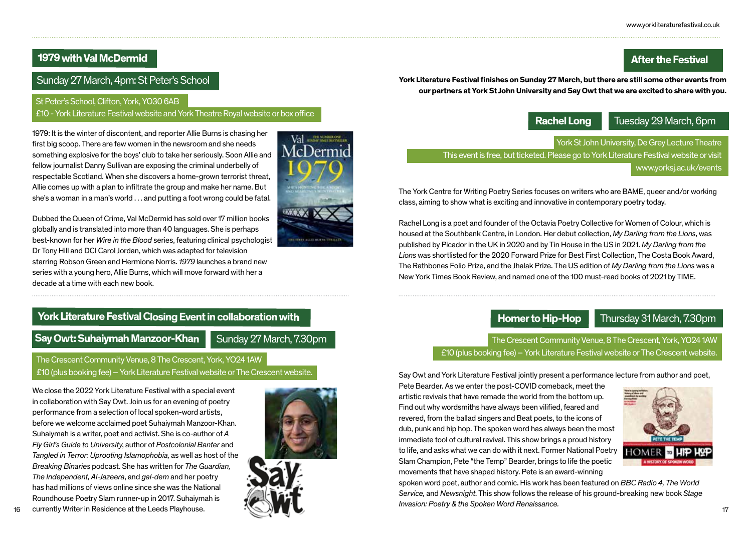### **After the Festival**

### **1979 with Val McDermid**

Sunday 27 March, 4pm: St Peter's School

### St Peter's School, Clifton, York, YO30 6AB

### £10 - York Literature Festival website and York Theatre Royal website or box office

1979: It is the winter of discontent, and reporter Allie Burns is chasing her first big scoop. There are few women in the newsroom and she needs something explosive for the boys' club to take her seriously. Soon Allie and fellow journalist Danny Sullivan are exposing the criminal underbelly of respectable Scotland. When she discovers a home-grown terrorist threat, Allie comes up with a plan to infiltrate the group and make her name. But she's a woman in a man's world . . . and putting a foot wrong could be fatal.

Dubbed the Queen of Crime, Val McDermid has sold over 17 million books globally and is translated into more than 40 languages. She is perhaps best-known for her *Wire in the Blood* series, featuring clinical psychologist Dr Tony Hill and DCI Carol Jordan, which was adapted for television starring Robson Green and Hermione Norris. *1979* launches a brand new series with a young hero, Allie Burns, which will move forward with her a decade at a time with each new book.

### **York Literature Festival Closing Event in collaboration with**

**Say Owt: Suhaiymah Manzoor-Khan** Sunday 27 March, 7.30pm

The Crescent Community Venue, 8 The Crescent, York, YO24 1AW £10 (plus booking fee) – York Literature Festival website or The Crescent website.

We close the 2022 York Literature Festival with a special event in collaboration with Say Owt. Join us for an evening of poetry performance from a selection of local spoken-word artists, before we welcome acclaimed poet Suhaiymah Manzoor-Khan. Suhaiymah is a writer, poet and activist. She is co-author of *A Fly Girl's Guide to University*, author of *Postcolonial Banter* and *Tangled in Terror: Uprooting Islamophobia,* as well as host of the *Breaking Binaries* podcast. She has written for *The Guardian, The Independent, Al-Jazeera*, and *gal-dem* and her poetry has had millions of views online since she was the National Roundhouse Poetry Slam runner-up in 2017. Suhaiymah is currently Writer in Residence at the Leeds Playhouse.



Val *URADION* 



**York Literature Festival finishes on Sunday 27 March, but there are still some other events from our partners at York St John University and Say Owt that we are excited to share with you.** 

**Rachel Long**

Tuesday 29 March, 6pm

York St John University, De Grey Lecture Theatre

This event is free, but ticketed. Please go to York Literature Festival website or visit www.yorksj.ac.uk/events

The York Centre for Writing Poetry Series focuses on writers who are BAME, queer and/or working class, aiming to show what is exciting and innovative in contemporary poetry today.

Rachel Long is a poet and founder of the Octavia Poetry Collective for Women of Colour, which is housed at the Southbank Centre, in London. Her debut collection, *My Darling from the Lions*, was published by Picador in the UK in 2020 and by Tin House in the US in 2021. *My Darling from the Lions* was shortlisted for the 2020 Forward Prize for Best First Collection, The Costa Book Award, The Rathbones Folio Prize, and the Jhalak Prize. The US edition of *My Darling from the Lions* was a New York Times Book Review, and named one of the 100 must-read books of 2021 by TIME.

**Homer to Hip-Hop**

Thursday 31 March, 7.30pm

The Crescent Community Venue, 8 The Crescent, York, YO24 1AW £10 (plus booking fee) – York Literature Festival website or The Crescent website.

Say Owt and York Literature Festival jointly present a performance lecture from author and poet,

Pete Bearder. As we enter the post-COVID comeback, meet the artistic revivals that have remade the world from the bottom up. Find out why wordsmiths have always been vilified, feared and revered, from the ballad singers and Beat poets, to the icons of dub, punk and hip hop. The spoken word has always been the most immediate tool of cultural revival. This show brings a proud history to life, and asks what we can do with it next. Former National Poetry Slam Champion, Pete "the Temp" Bearder, brings to life the poetic movements that have shaped history. Pete is an award-winning



spoken word poet, author and comic. His work has been featured on *BBC Radio 4, The World Service,* and *Newsnight*. This show follows the release of his ground-breaking new book *Stage Invasion: Poetry & the Spoken Word Renaissance.*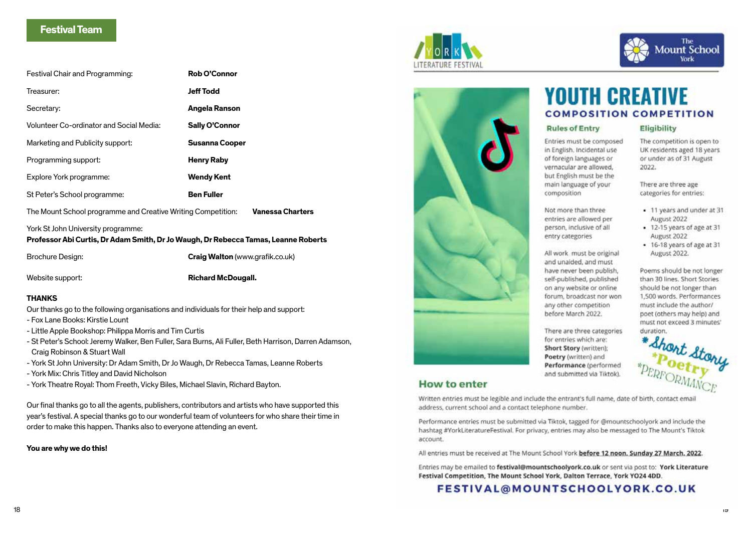### **Festival Team**

| Festival Chair and Programming:          | <b>Rob O'Connor</b>   |
|------------------------------------------|-----------------------|
| Treasurer:                               | <b>Jeff Todd</b>      |
| Secretary:                               | Angela Ranson         |
| Volunteer Co-ordinator and Social Media: | <b>Sally O'Connor</b> |
| Marketing and Publicity support:         | <b>Susanna Cooper</b> |
| Programming support:                     | <b>Henry Raby</b>     |
| Explore York programme:                  | <b>Wendy Kent</b>     |
| St Peter's School programme:             | <b>Ben Fuller</b>     |
|                                          |                       |

The Mount School programme and Creative Writing Competition: **Vanessa Charters**

### York St John University programme:

### **Professor Abi Curtis, Dr Adam Smith, Dr Jo Waugh, Dr Rebecca Tamas, Leanne Roberts**

Brochure Design: **Craig Walton** (www.grafik.co.uk)

Website support: **Richard McDougall.** 

### **THANKS**

Our thanks go to the following organisations and individuals for their help and support:

- Fox Lane Books: Kirstie Lount
- Little Apple Bookshop: Philippa Morris and Tim Curtis
- St Peter's School: Jeremy Walker, Ben Fuller, Sara Burns, Ali Fuller, Beth Harrison, Darren Adamson, Craig Robinson & Stuart Wall
- York St John University: Dr Adam Smith, Dr Jo Waugh, Dr Rebecca Tamas, Leanne Roberts
- York Mix: Chris Titley and David Nicholson
- York Theatre Royal: Thom Freeth, Vicky Biles, Michael Slavin, Richard Bayton.

Our final thanks go to all the agents, publishers, contributors and artists who have supported this year's festival. A special thanks go to our wonderful team of volunteers for who share their time in order to make this happen. Thanks also to everyone attending an event.

### **You are why we do this!**





### **How to enter**

Written entries must be legible and include the entrant's full name, date of birth, contact email address, current school and a contact telephone number.

Performance entries must be submitted via Tiktok, tagged for @mountschoolyork and include the hashtag #YorkLiteratureFestival. For privacy, entries may also be messaged to The Mount's Tiktok account.

All entries must be received at The Mount School York before 12 noon, Sunday 27 March, 2022.

Entries may be emailed to festival@mountschoolyork.co.uk or sent via post to: York Literature Festival Competition, The Mount School York, Dalton Terrace, York YO24 4DD.

FESTIVAL@MOUNTSCHOOLYORK.CO.UK

# **YOUTH CREATIVE COMPOSITION COMPETITION**

### **Rules of Entry**

Entries must be composed in English, Incidental use of foreign languages or vernacular are allowed. but English must be the main language of your composition

Not more than three

entries are allowed per

person, inclusive of all

All work must be original

self-published, published

on any website or online

any other competition

before March 2022.

for entries which are: Short Story (written); Poetry (written) and Performance (performed and submitted via Tiktok).

forum, broadcast nor won

There are three categories

and unaided, and must have never been publish.

entry categories

The competition is open to UK residents aged 18 years or under as of 31 August 2022.

The<br>Mount School

There are three age categories for entries:

Eligibility

- 11 years and under at 31 August 2022
- . 12-15 years of age at 31 August 2022
- 16-18 years of age at 31 August 2022.

Poems should be not longer than 30 lines. Short Stories should be not longer than 1,500 words. Performances must include the author/ poet (others may help) and must not exceed 3 minutes' duration.

\* Short Stone